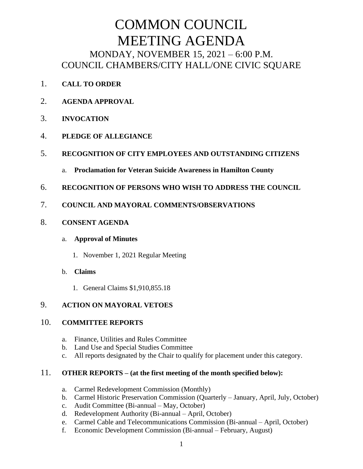# COMMON COUNCIL MEETING AGENDA MONDAY, NOVEMBER 15, 2021 – 6:00 P.M. COUNCIL CHAMBERS/CITY HALL/ONE CIVIC SQUARE

- 1. **CALL TO ORDER**
- 2. **AGENDA APPROVAL**
- 3. **INVOCATION**
- 4. **PLEDGE OF ALLEGIANCE**
- 5. **RECOGNITION OF CITY EMPLOYEES AND OUTSTANDING CITIZENS**
	- a. **Proclamation for Veteran Suicide Awareness in Hamilton County**
- 6. **RECOGNITION OF PERSONS WHO WISH TO ADDRESS THE COUNCIL**
- 7. **COUNCIL AND MAYORAL COMMENTS/OBSERVATIONS**
- 8. **CONSENT AGENDA**

#### a. **Approval of Minutes**

- 1. November 1, 2021 Regular Meeting
- b. **Claims**
	- 1. General Claims \$1,910,855.18

## 9. **ACTION ON MAYORAL VETOES**

#### 10. **COMMITTEE REPORTS**

- a. Finance, Utilities and Rules Committee
- b. Land Use and Special Studies Committee
- c. All reports designated by the Chair to qualify for placement under this category.

#### 11. **OTHER REPORTS – (at the first meeting of the month specified below):**

- a. Carmel Redevelopment Commission (Monthly)
- b. Carmel Historic Preservation Commission (Quarterly January, April, July, October)
- c. Audit Committee (Bi-annual May, October)
- d. Redevelopment Authority (Bi-annual April, October)
- e. Carmel Cable and Telecommunications Commission (Bi-annual April, October)
- f. Economic Development Commission (Bi-annual February, August)